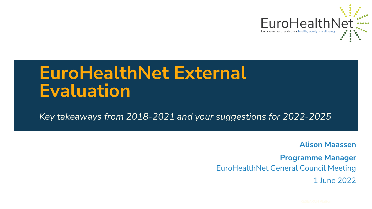

## **EuroHealthNet External Evaluation**

*Key takeaways from 2018-2021 and your suggestions for 2022-2025*

**Alison Maassen**

**Programme Manager** EuroHealthNet General Council Meeting 1 June 2022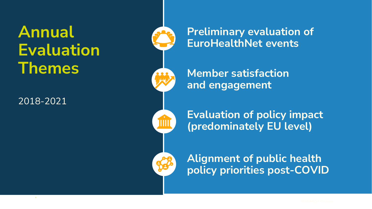**Annual Evaluation Themes**

2018-2021

**Preliminary evaluation of EuroHealthNet events**

**Member satisfaction and engagement**

**Evaluation of policy impact (predominately EU level)**

**Alignment of public health policy priorities post-COVID**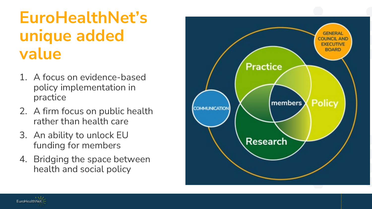## **EuroHealthNet's unique added value**

- 1. A focus on evidence-based policy implementation in practice
- 2. A firm focus on public health rather than health care
- 3. An ability to unlock EU funding for members
- 4. Bridging the space between health and social policy